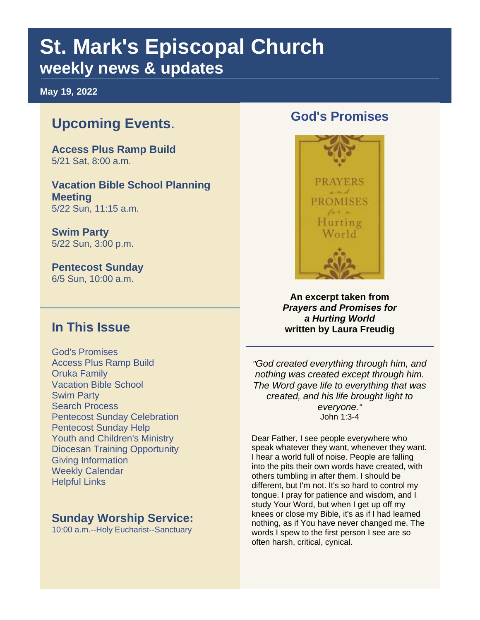# **St. Mark's Episcopal Church weekly news & updates**

**May 19, 2022**

## **Upcoming Events**.

**Access Plus Ramp Build** 5/21 Sat, 8:00 a.m.

**Vacation Bible School Planning Meeting** 5/22 Sun, 11:15 a.m.

**Swim Party** 5/22 Sun, 3:00 p.m.

**Pentecost Sunday** 6/5 Sun, 10:00 a.m.

#### **In This Issue**

God's Promises Access Plus Ramp Build Oruka Family Vacation Bible School Swim Party Search Process Pentecost Sunday Celebration Pentecost Sunday Help Youth and Children's Ministry Diocesan Training Opportunity Giving Information Weekly Calendar Helpful Links

#### **Sunday Worship Service:**

10:00 a.m.--Holy Eucharist--Sanctuary

#### **God's Promises**



**An excerpt taken from**  *Prayers and Promises for a Hurting World* **written by Laura Freudig**

*"God created everything through him, and nothing was created except through him. The Word gave life to everything that was created, and his life brought light to everyone."* John 1:3-4

Dear Father, I see people everywhere who speak whatever they want, whenever they want. I hear a world full of noise. People are falling into the pits their own words have created, with others tumbling in after them. I should be different, but I'm not. It's so hard to control my tongue. I pray for patience and wisdom, and I study Your Word, but when I get up off my knees or close my Bible, it's as if I had learned nothing, as if You have never changed me. The words I spew to the first person I see are so often harsh, critical, cynical.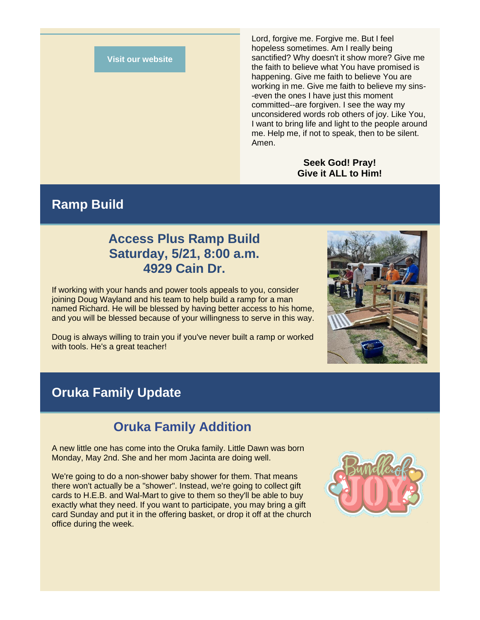#### **[Visit our website](https://r20.rs6.net/tn.jsp?f=001ZjOc6WWaQNsysMHpe6tAl3QeUR4LvMNWK7nzrL7jque0VU15r_nl727IRvmXMS1VU3ookhjb1eoM7_gM9x6pmCy2SJriKySAigLhnndHGthr8CsAZhyrO_3tsW9jFMmj4rgbvumsw-ex80ZnJ26Diw==&c=9YuQvPrdPxpVl-rhDAvT88-UzdL5aBOGThfBwr9yWjcHqeu5oIeAYg==&ch=qLXlrd0JASCki33bCo2NfDEXgfaBP_UOS-5iy4g8rlFm6beEePMo7g==)**

Lord, forgive me. Forgive me. But I feel hopeless sometimes. Am I really being sanctified? Why doesn't it show more? Give me the faith to believe what You have promised is happening. Give me faith to believe You are working in me. Give me faith to believe my sins- -even the ones I have just this moment committed--are forgiven. I see the way my unconsidered words rob others of joy. Like You, I want to bring life and light to the people around me. Help me, if not to speak, then to be silent. Amen.

#### **Seek God! Pray! Give it ALL to Him!**

#### **Ramp Build**

#### **Access Plus Ramp Build Saturday, 5/21, 8:00 a.m. 4929 Cain Dr.**

If working with your hands and power tools appeals to you, consider joining Doug Wayland and his team to help build a ramp for a man named Richard. He will be blessed by having better access to his home, and you will be blessed because of your willingness to serve in this way.

Doug is always willing to train you if you've never built a ramp or worked with tools. He's a great teacher!

#### **Oruka Family Update**

#### **Oruka Family Addition**

A new little one has come into the Oruka family. Little Dawn was born Monday, May 2nd. She and her mom Jacinta are doing well.

We're going to do a non-shower baby shower for them. That means there won't actually be a "shower". Instead, we're going to collect gift cards to H.E.B. and Wal-Mart to give to them so they'll be able to buy exactly what they need. If you want to participate, you may bring a gift card Sunday and put it in the offering basket, or drop it off at the church office during the week.



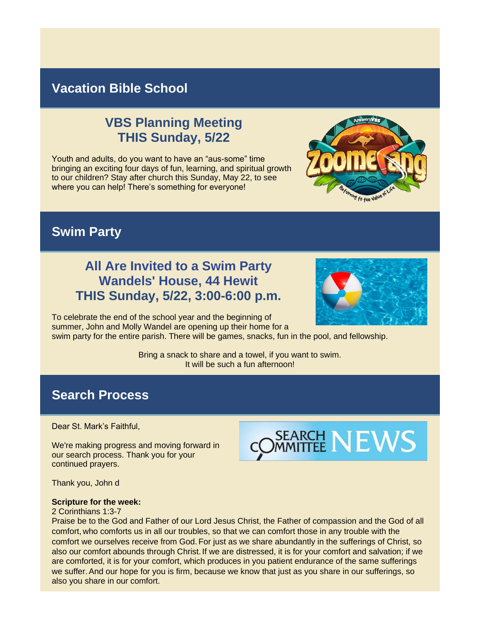## **Vacation Bible School**

## **VBS Planning Meeting THIS Sunday, 5/22**

Youth and adults, do you want to have an "aus-some" time bringing an exciting four days of fun, learning, and spiritual growth to our children? Stay after church this Sunday, May 22, to see where you can help! There's something for everyone!



### **Swim Party**

### **All Are Invited to a Swim Party Wandels' House, 44 Hewit THIS Sunday, 5/22, 3:00-6:00 p.m.**

To celebrate the end of the school year and the beginning of summer, John and Molly Wandel are opening up their home for a

swim party for the entire parish. There will be games, snacks, fun in the pool, and fellowship.

Bring a snack to share and a towel, if you want to swim. It will be such a fun afternoon!

### **Search Process**

Dear St. Mark's Faithful,

We're making progress and moving forward in our search process. Thank you for your continued prayers.



Thank you, John d

#### **Scripture for the week:**

#### 2 Corinthians 1:3-7

Praise be to the God and Father of our Lord Jesus Christ, the Father of compassion and the God of all comfort, who comforts us in all our troubles, so that we can comfort those in any trouble with the comfort we ourselves receive from God. For just as we share abundantly in the sufferings of Christ, so also our comfort abounds through Christ. If we are distressed, it is for your comfort and salvation; if we are comforted, it is for your comfort, which produces in you patient endurance of the same sufferings we suffer.And our hope for you is firm, because we know that just as you share in our sufferings, so also you share in our comfort.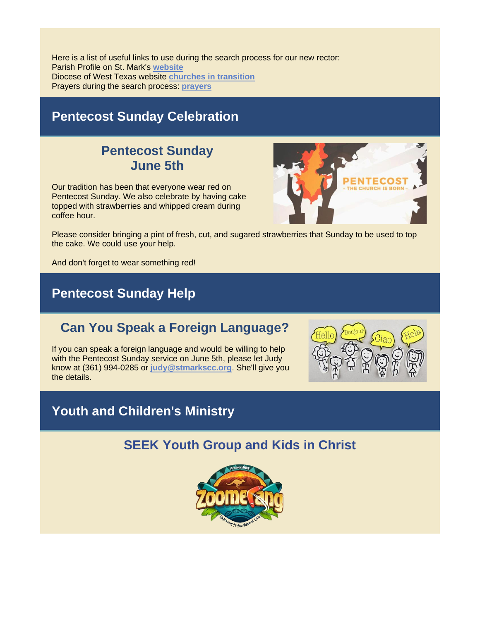Here is a list of useful links to use during the search process for our new rector: Parish Profile on St. Mark's **[website](https://r20.rs6.net/tn.jsp?f=001ZjOc6WWaQNsysMHpe6tAl3QeUR4LvMNWK7nzrL7jque0VU15r_nl79zko1Nd9o8HSctIby6i72vN_7eFu4XDciBDqvy3F-yLL8jfOuj35EUlNvpnu5QTQKP7S_374gmqoAEHYv7U6djqaaSWlT-su87pxHUTtk_nAY3FcX3sQxM=&c=9YuQvPrdPxpVl-rhDAvT88-UzdL5aBOGThfBwr9yWjcHqeu5oIeAYg==&ch=qLXlrd0JASCki33bCo2NfDEXgfaBP_UOS-5iy4g8rlFm6beEePMo7g==)** Diocese of West Texas website **[churches in transition](https://r20.rs6.net/tn.jsp?f=001ZjOc6WWaQNsysMHpe6tAl3QeUR4LvMNWK7nzrL7jque0VU15r_nl7wWT0MnIDfskfy6pL1HacLNh5Vj7y2hQz3Il6BCv6fZ-Pq3cQZX_lisN4CU6Xj6hRSjnJqbAH_5bYuSTOjLXXrqd0NDzvJQRSoaLMCVkNnPDR7g7OHOG82hb0oY0T4qXMogeuOcGZHyN7Mpd631CTvQO8e82B5PlfoUxm_XWs35H6DHQMatwOpM=&c=9YuQvPrdPxpVl-rhDAvT88-UzdL5aBOGThfBwr9yWjcHqeu5oIeAYg==&ch=qLXlrd0JASCki33bCo2NfDEXgfaBP_UOS-5iy4g8rlFm6beEePMo7g==)** Prayers during the search process: **[prayers](https://r20.rs6.net/tn.jsp?f=001ZjOc6WWaQNsysMHpe6tAl3QeUR4LvMNWK7nzrL7jque0VU15r_nl79zko1Nd9o8Ha0a3cj3b_atvp0dt1W2AWWt3YAAtM9KEJRHe7M-yjKes7be4gwpnYodGfWqEK4QAnwlwnp-Y4NbiDWkLC4G8LZMOB-HXNQhXOuWcodqtD9gEeEfFNUjXAusrCu8pgc3SX02vfAPbgPa-Ok55Vp5iW0SpkAfbNdjvRnUaBgeM8vY=&c=9YuQvPrdPxpVl-rhDAvT88-UzdL5aBOGThfBwr9yWjcHqeu5oIeAYg==&ch=qLXlrd0JASCki33bCo2NfDEXgfaBP_UOS-5iy4g8rlFm6beEePMo7g==)**

## **Pentecost Sunday Celebration**

### **Pentecost Sunday June 5th**

Our tradition has been that everyone wear red on Pentecost Sunday. We also celebrate by having cake topped with strawberries and whipped cream during coffee hour.



Please consider bringing a pint of fresh, cut, and sugared strawberries that Sunday to be used to top the cake. We could use your help.

And don't forget to wear something red!

## **Pentecost Sunday Help**

## **Can You Speak a Foreign Language?**

If you can speak a foreign language and would be willing to help with the Pentecost Sunday service on June 5th, please let Judy know at (361) 994-0285 or **[judy@stmarkscc.org](mailto:judy@stmarkscc.org)**. She'll give you the details.



## **Youth and Children's Ministry**

## **SEEK Youth Group and Kids in Christ**

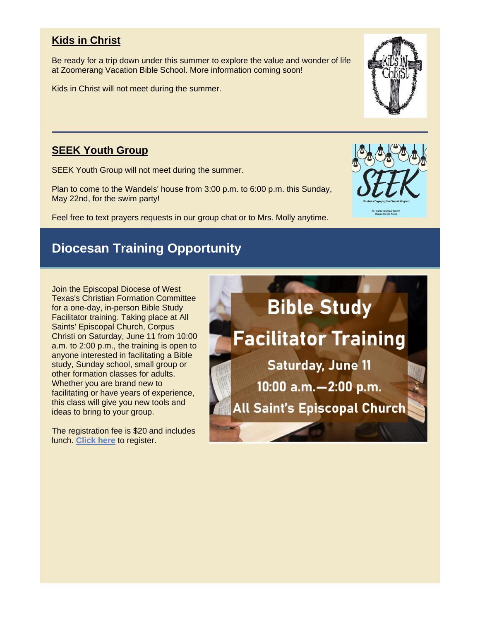#### **Kids in Christ**

Be ready for a trip down under this summer to explore the value and wonder of life at Zoomerang Vacation Bible School. More information coming soon!

Kids in Christ will not meet during the summer.

#### **SEEK Youth Group**

SEEK Youth Group will not meet during the summer.

Plan to come to the Wandels' house from 3:00 p.m. to 6:00 p.m. this Sunday, May 22nd, for the swim party!

Feel free to text prayers requests in our group chat or to Mrs. Molly anytime.

## **Diocesan Training Opportunity**

Join the Episcopal Diocese of West Texas's Christian Formation Committee for a one-day, in-person Bible Study Facilitator training. Taking place at [All](https://r20.rs6.net/tn.jsp?f=001ZjOc6WWaQNsysMHpe6tAl3QeUR4LvMNWK7nzrL7jque0VU15r_nl713WHQArdhZEOfIiolusLLmGdI6NbLOAGqdgWqBEJ-rA90KqJ5xy6Ec_Ggxv8y3CTc2Gwk80J8UH2bkfHjec6LAJSYC4rmMGTQ==&c=9YuQvPrdPxpVl-rhDAvT88-UzdL5aBOGThfBwr9yWjcHqeu5oIeAYg==&ch=qLXlrd0JASCki33bCo2NfDEXgfaBP_UOS-5iy4g8rlFm6beEePMo7g==)  [Saints' Episcopal Church, Corpus](https://r20.rs6.net/tn.jsp?f=001ZjOc6WWaQNsysMHpe6tAl3QeUR4LvMNWK7nzrL7jque0VU15r_nl713WHQArdhZEOfIiolusLLmGdI6NbLOAGqdgWqBEJ-rA90KqJ5xy6Ec_Ggxv8y3CTc2Gwk80J8UH2bkfHjec6LAJSYC4rmMGTQ==&c=9YuQvPrdPxpVl-rhDAvT88-UzdL5aBOGThfBwr9yWjcHqeu5oIeAYg==&ch=qLXlrd0JASCki33bCo2NfDEXgfaBP_UOS-5iy4g8rlFm6beEePMo7g==)  [Christi o](https://r20.rs6.net/tn.jsp?f=001ZjOc6WWaQNsysMHpe6tAl3QeUR4LvMNWK7nzrL7jque0VU15r_nl713WHQArdhZEOfIiolusLLmGdI6NbLOAGqdgWqBEJ-rA90KqJ5xy6Ec_Ggxv8y3CTc2Gwk80J8UH2bkfHjec6LAJSYC4rmMGTQ==&c=9YuQvPrdPxpVl-rhDAvT88-UzdL5aBOGThfBwr9yWjcHqeu5oIeAYg==&ch=qLXlrd0JASCki33bCo2NfDEXgfaBP_UOS-5iy4g8rlFm6beEePMo7g==)n Saturday, June 11 from 10:00 a.m. to 2:00 p.m., the training is open to anyone interested in facilitating a Bible study, Sunday school, small group or other formation classes for adults. Whether you are brand new to facilitating or have years of experience, this class will give you new tools and ideas to bring to your group.

The registration fee is \$20 and includes lunch. **[Click here](https://r20.rs6.net/tn.jsp?f=001ZjOc6WWaQNsysMHpe6tAl3QeUR4LvMNWK7nzrL7jque0VU15r_nl713WHQArdhZE7ye_hVLKX5y8xRu3J1z5DoxmHX8Kef-RxadvyeyfN8ZlgBD2mS_znCVKaVmNLO81nH7ZyfXBAKSRsODTJtt-2_gCVMOAKutVk_oG1L_yU2jUD0FAihi2vcLomQXBJ2zV&c=9YuQvPrdPxpVl-rhDAvT88-UzdL5aBOGThfBwr9yWjcHqeu5oIeAYg==&ch=qLXlrd0JASCki33bCo2NfDEXgfaBP_UOS-5iy4g8rlFm6beEePMo7g==)** to register.





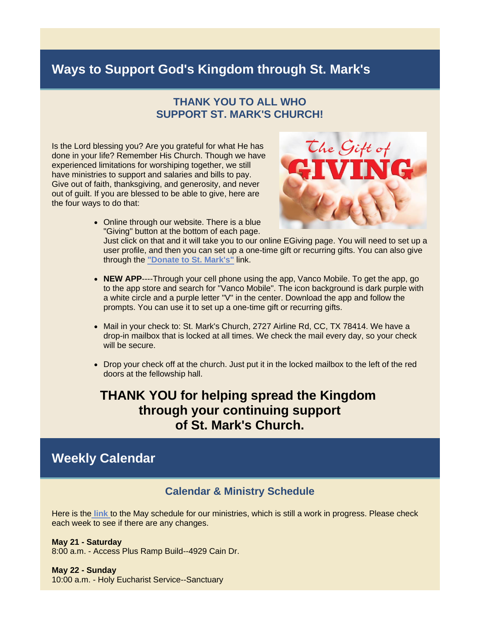### **Ways to Support God's Kingdom through St. Mark's**

#### **THANK YOU TO ALL WHO SUPPORT ST. MARK'S CHURCH!**

Is the Lord blessing you? Are you grateful for what He has done in your life? Remember His Church. Though we have experienced limitations for worshiping together, we still have ministries to support and salaries and bills to pay. Give out of faith, thanksgiving, and generosity, and never out of guilt. If you are blessed to be able to give, here are the four ways to do that:



• Online through our website. There is a blue "Giving" button at the bottom of each page.

Just click on that and it will take you to our online EGiving page. You will need to set up a user profile, and then you can set up a one-time gift or recurring gifts. You can also give through the **["Donate to St. Mark's"](https://r20.rs6.net/tn.jsp?f=001ZjOc6WWaQNsysMHpe6tAl3QeUR4LvMNWK7nzrL7jque0VU15r_nl7510VR4mZp4MMZVqPYPKNkHf1GXHFnIQr7Ztl9AUEicfljUxOrNr3hXdJm3c0einN4y046WsTNvW-ZzSqDvuYT_cTl1QFcKCPLOD_v8_xQcMAlDHRTWIFPCF5H5hBKwfWIu1pSfPE25Goygo5awqwIR_ZPgUP47dE7ySePBXxjUuadR0iYoY7j_2egKUw_tuBnDt-LIDsSZO8n4oS82_X2L8ponkG0F9alQHhyNuG9UK59V3d8Gg2otcTEcI_wHzOJRuAaWtDOrA8AUgp3BXsXyDyQsOffakYsvx_nJbM6Gx96_QZcIxvAY=&c=9YuQvPrdPxpVl-rhDAvT88-UzdL5aBOGThfBwr9yWjcHqeu5oIeAYg==&ch=qLXlrd0JASCki33bCo2NfDEXgfaBP_UOS-5iy4g8rlFm6beEePMo7g==)** link.

- **NEW APP**----Through your cell phone using the app, Vanco Mobile. To get the app, go to the app store and search for "Vanco Mobile". The icon background is dark purple with a white circle and a purple letter "V" in the center. Download the app and follow the prompts. You can use it to set up a one-time gift or recurring gifts.
- Mail in your check to: St. Mark's Church, 2727 Airline Rd, CC, TX 78414. We have a drop-in mailbox that is locked at all times. We check the mail every day, so your check will be secure.
- Drop your check off at the church. Just put it in the locked mailbox to the left of the red doors at the fellowship hall.

#### **THANK YOU for helping spread the Kingdom through your continuing support of St. Mark's Church.**

#### **Weekly Calendar**

#### **Calendar & Ministry Schedule**

Here is the **[link](https://r20.rs6.net/tn.jsp?f=001ZjOc6WWaQNsysMHpe6tAl3QeUR4LvMNWK7nzrL7jque0VU15r_nl713WHQArdhZELdsWfqRlwNkh27tJHNdu04J9wXTy-tbtEMahxFW6fySio1YMar0E29cOmUAEIRLaR7BD_oDMVD3n9HG1hEnIRa3JqA45Y4Y_XzsxpkFsr0od-eoT6KsTt_Jy4zVlr0LHbjwjvouwtj_hE4zDVPcNo70yaUUJBdggSrhIPUt9yIE=&c=9YuQvPrdPxpVl-rhDAvT88-UzdL5aBOGThfBwr9yWjcHqeu5oIeAYg==&ch=qLXlrd0JASCki33bCo2NfDEXgfaBP_UOS-5iy4g8rlFm6beEePMo7g==)** to the May schedule for our ministries, which is still a work in progress. Please check each week to see if there are any changes.

#### **May 21 - Saturday**

8:00 a.m. - Access Plus Ramp Build--4929 Cain Dr.

#### **May 22 - Sunday**

10:00 a.m. - Holy Eucharist Service--Sanctuary